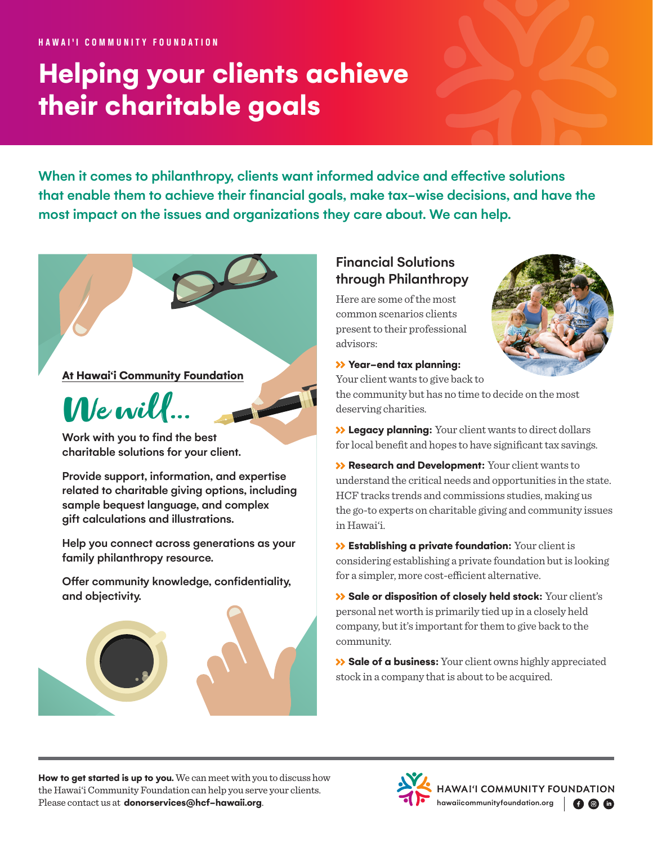# **Helping your clients achieve their charitable goals**

When it comes to philanthropy, clients want informed advice and effective solutions that enable them to achieve their financial goals, make tax-wise decisions, and have the most impact on the issues and organizations they care about. We can help.

#### **At Hawai'i Community Foundation**



Work with you to find the best charitable solutions for your client.

Provide support, information, and expertise related to charitable giving options, including sample bequest language, and complex gift calculations and illustrations.

Help you connect across generations as your family philanthropy resource.

Offer community knowledge, confidentiality, and objectivity.



### Financial Solutions through Philanthropy

Here are some of the most common scenarios clients present to their professional advisors:



#### **Year-end tax planning:**

Your client wants to give back to

the community but has no time to decide on the most deserving charities.

 **Legacy planning:** Your client wants to direct dollars for local benefit and hopes to have significant tax savings.

 **Research and Development:** Your client wants to understand the critical needs and opportunities in the state. HCF tracks trends and commissions studies, making us the go-to experts on charitable giving and community issues in Hawai'i.

 **Establishing a private foundation:** Your client is considering establishing a private foundation but is looking for a simpler, more cost-efficient alternative.

**Sale or disposition of closely held stock:** Your client's personal net worth is primarily tied up in a closely held company, but it's important for them to give back to the community.

 **Sale of a business:**Your client owns highly appreciated stock in a company that is about to be acquired.

**How to get started is up to you.** We can meet with you to discuss how the Hawai'i Community Foundation can help you serve your clients. How to get started is up to you. We can meet with you to discuss how<br>the Hawai'i Community Foundation can help you serve your clients.<br>Please contact us at **[donorservices@hcf-hawaii.org](mailto:donorservices%40hcf-hawaii.org?subject=)**.<br>The [hawaiicommunityfoundation.org](http://hawaiicommunityfoundation.org)